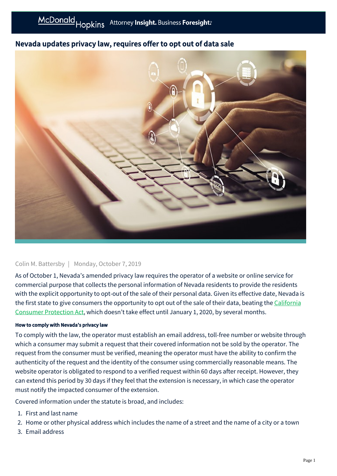## Nevada updates privacy law, requires offer to opt out of data sale



## Colin M. Battersby | Monday, October 7, 2019

As of October 1, Nevada's amended privacy law requires the operator of a website or online service for commercial purpose that collects the personal information of Nevada residents to provide the residents with the explicit opportunity to opt-out of the sale of their personal data. Given its effective date, Nevada is [the first state to give consumers the opportunity to opt out of the sale of their data, beating the California](https://businessadvocate.mcdonaldhopkins.com/link.aspx?_id=BFDF041772BC497E8E6C7CFF80178C1A&_z=z) Consumer Protection Act, which doesn't take effect until January 1, 2020, by several months.

## How to comply with Nevada's privacy law

To comply with the law, the operator must establish an email address, toll-free number or website through which a consumer may submit a request that their covered information not be sold by the operator. The request from the consumer must be verified, meaning the operator must have the ability to confirm the authenticity of the request and the identity of the consumer using commercially reasonable means. The website operator is obligated to respond to a verified request within 60 days after receipt. However, they can extend this period by 30 days if they feel that the extension is necessary, in which case the operator must notify the impacted consumer of the extension.

Covered information under the statute is broad, and includes:

- 1. First and last name
- 2. Home or other physical address which includes the name of a street and the name of a city or a town
- 3. Email address